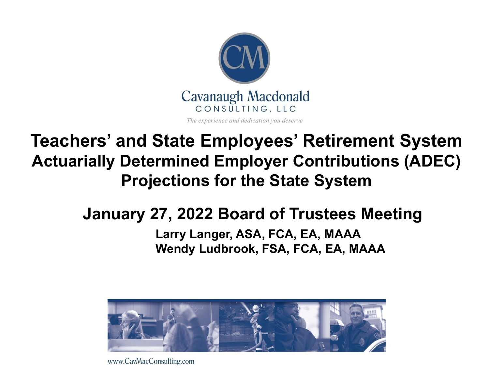

#### **Teachers' and State Employees' Retirement System Actuarially Determined Employer Contributions (ADEC) Projections for the State System**

#### **January 27, 2022 Board of Trustees Meeting**

#### **Larry Langer, ASA, FCA, EA, MAAA Wendy Ludbrook, FSA, FCA, EA, MAAA**



www.CavMacConsulting.com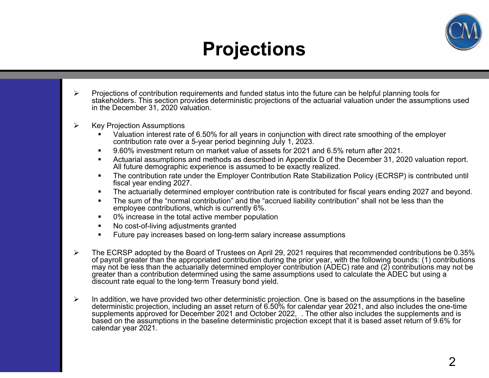

#### **Projections**

- $\blacktriangleright$  Projections of contribution requirements and funded status into the future can be helpful planning tools for stakeholders. This section provides deterministic projections of the actuarial valuation under the assumptions used in the December 31, 2020 valuation.
- $\blacktriangleright$  Key Projection Assumptions
	- Valuation interest rate of 6.50% for all years in conjunction with direct rate smoothing of the employer contribution rate over a 5-year period beginning July 1, 2023.
	- $\blacksquare$ 9.60% investment return on market value of assets for 2021 and 6.5% return after 2021.
	- $\blacksquare$  Actuarial assumptions and methods as described in Appendix D of the December 31, 2020 valuation report. All future demographic experience is assumed to be exactly realized.
	- $\blacksquare$  The contribution rate under the Employer Contribution Rate Stabilization Policy (ECRSP) is contributed until fiscal year ending 2027.
	- $\blacksquare$ The actuarially determined employer contribution rate is contributed for fiscal years ending 2027 and beyond.
	- $\blacksquare$  The sum of the "normal contribution" and the "accrued liability contribution" shall not be less than the employee contributions, which is currently 6%.
	- $\blacksquare$ 0% increase in the total active member population
	- $\blacksquare$ No cost-of-living adjustments granted
	- $\blacksquare$ Future pay increases based on long-term salary increase assumptions
- $\blacktriangleright$  The ECRSP adopted by the Board of Trustees on April 29, 2021 requires that recommended contributions be 0.35% of payroll greater than the appropriated contribution during the prior year, with the following bounds: (1) contributions may not be less than the actuarially determined employer contribution (ADEC) rate and (2) contributions may not be greater than a contribution determined using the same assumptions used to calculate the ADEC but using a discount rate equal to the long-term Treasury bond yield.
- $\blacktriangleright$ In addition, we have provided two other deterministic projection. One is based on the assumptions in the baseline deterministic projection, including an asset return of 6.50% for calendar year 2021, and also includes the one-time supplements approved for December 2021 and October 2022, . The other also includes the supplements and is based on the assumptions in the baseline deterministic projection except that it is based asset return of 9.6% for calendar year 2021.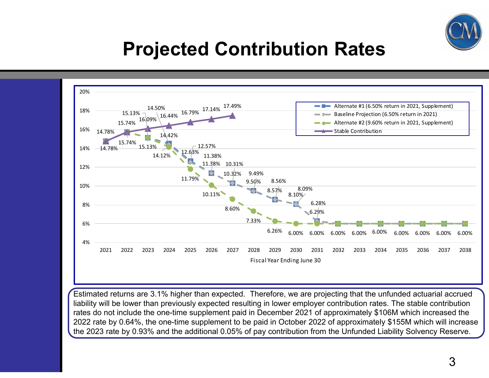

#### **Projected Contribution Rates**



Estimated returns are 3.1% higher than expected. Therefore, we are projecting that the unfunded actuarial accrued liability will be lower than previously expected resulting in lower employer contribution rates. The stable contribution rates do not include the one-time supplement paid in December 2021 of approximately \$106M which increased the 2022 rate by 0.64%, the one-time supplement to be paid in October 2022 of approximately \$155M which will increase the 2023 rate by 0.93% and the additional 0.05% of pay contribution from the Unfunded Liability Solvency Reserve.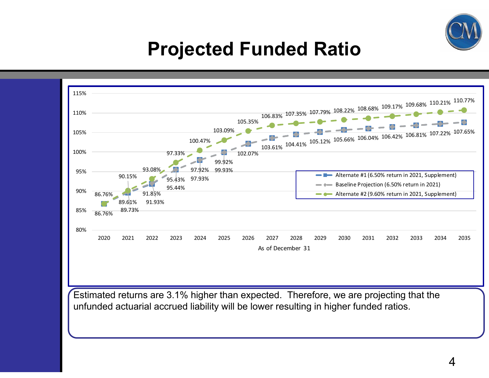

#### **Projected Funded Ratio**



Estimated returns are 3.1% higher than expected. Therefore, we are projecting that the unfunded actuarial accrued liability will be lower resulting in higher funded ratios.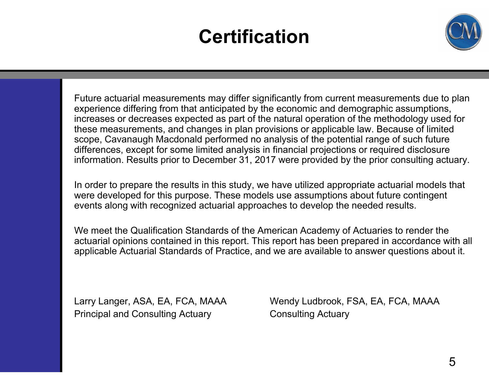#### **Certification**



Future actuarial measurements may differ significantly from current measurements due to plan experience differing from that anticipated by the economic and demographic assumptions, increases or decreases expected as part of the natural operation of the methodology used for these measurements, and changes in plan provisions or applicable law. Because of limited scope, Cavanaugh Macdonald performed no analysis of the potential range of such future differences, except for some limited analysis in financial projections or required disclosure information. Results prior to December 31, 2017 were provided by the prior consulting actuary.

In order to prepare the results in this study, we have utilized appropriate actuarial models that were developed for this purpose. These models use assumptions about future contingent events along with recognized actuarial approaches to develop the needed results.

We meet the Qualification Standards of the American Academy of Actuaries to render the actuarial opinions contained in this report. This report has been prepared in accordance with all applicable Actuarial Standards of Practice, and we are available to answer questions about it.

Principal and Consulting Actuary **Consulting Actuary** 

Larry Langer, ASA, EA, FCA, MAAA Wendy Ludbrook, FSA, EA, FCA, MAAA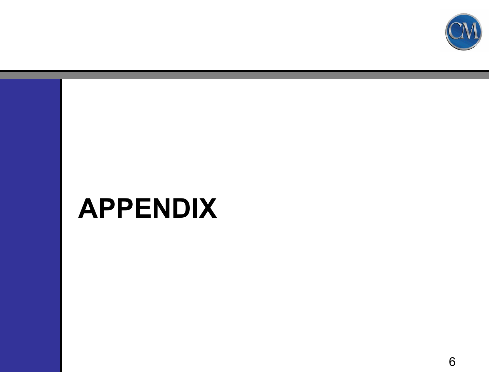

# **APPENDIX**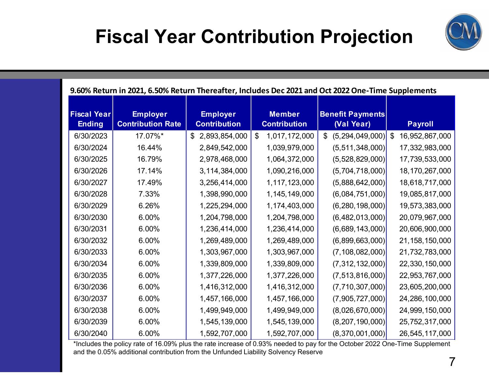## **Fiscal Year Contribution Projection**



#### **9.60% Return in 2021, 6.50% Return Thereafter, Includes Dec 2021 and Oct 2022One‐Time Supplements**

| <b>Fiscal Year</b><br><b>Ending</b> | <b>Employer</b><br><b>Contribution Rate</b> | <b>Employer</b><br><b>Contribution</b> | <b>Member</b><br><b>Contribution</b>        | <b>Benefit Payments</b><br>(Val Year) | <b>Payroll</b>                              |
|-------------------------------------|---------------------------------------------|----------------------------------------|---------------------------------------------|---------------------------------------|---------------------------------------------|
| 6/30/2023                           | 17.07%*                                     | 2,893,854,000<br>\$                    | $\boldsymbol{\mathsf{\$}}$<br>1,017,172,000 | (5,294,049,000)<br>$\mathfrak{S}$     | $\boldsymbol{\mathsf{S}}$<br>16,952,867,000 |
| 6/30/2024                           | 16.44%                                      | 2,849,542,000                          | 1,039,979,000                               | (5, 511, 348, 000)                    | 17,332,983,000                              |
| 6/30/2025                           | 16.79%                                      | 2,978,468,000                          | 1,064,372,000                               | (5,528,829,000)                       | 17,739,533,000                              |
| 6/30/2026                           | 17.14%                                      | 3, 114, 384, 000                       | 1,090,216,000                               | (5,704,718,000)                       | 18,170,267,000                              |
| 6/30/2027                           | 17.49%                                      | 3,256,414,000                          | 1,117,123,000                               | (5,888,642,000)                       | 18,618,717,000                              |
| 6/30/2028                           | 7.33%                                       | 1,398,990,000                          | 1, 145, 149, 000                            | (6,084,751,000)                       | 19,085,817,000                              |
| 6/30/2029                           | 6.26%                                       | 1,225,294,000                          | 1,174,403,000                               | (6, 280, 198, 000)                    | 19,573,383,000                              |
| 6/30/2030                           | 6.00%                                       | 1,204,798,000                          | 1,204,798,000                               | (6,482,013,000)                       | 20,079,967,000                              |
| 6/30/2031                           | 6.00%                                       | 1,236,414,000                          | 1,236,414,000                               | (6,689,143,000)                       | 20,606,900,000                              |
| 6/30/2032                           | 6.00%                                       | 1,269,489,000                          | 1,269,489,000                               | (6,899,663,000)                       | 21, 158, 150, 000                           |
| 6/30/2033                           | 6.00%                                       | 1,303,967,000                          | 1,303,967,000                               | (7, 108, 082, 000)                    | 21,732,783,000                              |
| 6/30/2034                           | 6.00%                                       | 1,339,809,000                          | 1,339,809,000                               | (7, 312, 132, 000)                    | 22,330,150,000                              |
| 6/30/2035                           | 6.00%                                       | 1,377,226,000                          | 1,377,226,000                               | (7, 513, 816, 000)                    | 22,953,767,000                              |
| 6/30/2036                           | 6.00%                                       | 1,416,312,000                          | 1,416,312,000                               | (7, 710, 307, 000)                    | 23,605,200,000                              |
| 6/30/2037                           | 6.00%                                       | 1,457,166,000                          | 1,457,166,000                               | (7,905,727,000)                       | 24,286,100,000                              |
| 6/30/2038                           | 6.00%                                       | 1,499,949,000                          | 1,499,949,000                               | (8,026,670,000)                       | 24,999,150,000                              |
| 6/30/2039                           | 6.00%                                       | 1,545,139,000                          | 1,545,139,000                               | (8,207,190,000)                       | 25,752,317,000                              |
| 6/30/2040                           | 6.00%                                       | 1,592,707,000                          | 1,592,707,000                               | (8,370,001,000)                       | 26,545,117,000                              |

\*Includes the policy rate of 16.09% plus the rate increase of 0.93% needed to pay for the October 2022 One-Time Supplement and the 0.05% additional contribution from the Unfunded Liability Solvency Reserve